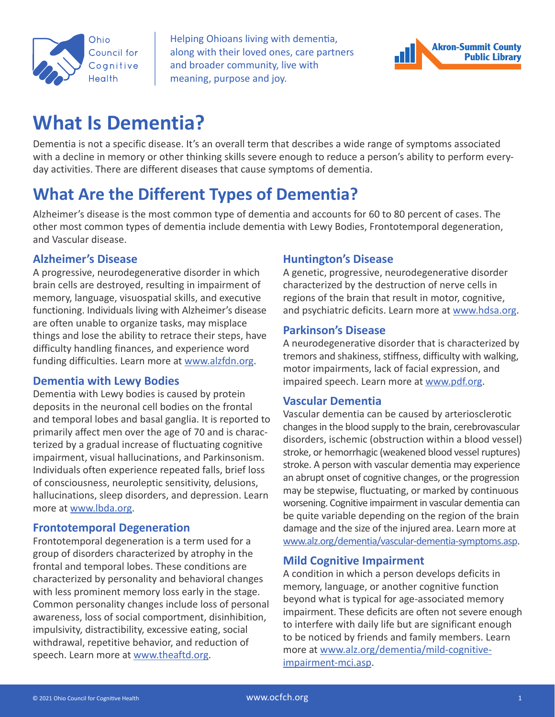

Helping Ohioans living with dementia, along with their loved ones, care partners and broader community, live with meaning, purpose and joy.



# **What Is Dementia?**

Dementia is not a specific disease. It's an overall term that describes a wide range of symptoms associated with a decline in memory or other thinking skills severe enough to reduce a person's ability to perform everyday activities. There are different diseases that cause symptoms of dementia.

## **What Are the Different Types of Dementia?**

Alzheimer's disease is the most common type of dementia and accounts for 60 to 80 percent of cases. The other most common types of dementia include dementia with Lewy Bodies, Frontotemporal degeneration, and Vascular disease.

## **Alzheimer's Disease**

A progressive, neurodegenerative disorder in which brain cells are destroyed, resulting in impairment of memory, language, visuospatial skills, and executive functioning. Individuals living with Alzheimer's disease are often unable to organize tasks, may misplace things and lose the ability to retrace their steps, have difficulty handling finances, and experience word funding difficulties. Learn more at [www.alzfdn.org.](http://www.alzfdn.org)

### **Dementia with Lewy Bodies**

Dementia with Lewy bodies is caused by protein deposits in the neuronal cell bodies on the frontal and temporal lobes and basal ganglia. It is reported to primarily affect men over the age of 70 and is characterized by a gradual increase of fluctuating cognitive impairment, visual hallucinations, and Parkinsonism. Individuals often experience repeated falls, brief loss of consciousness, neuroleptic sensitivity, delusions, hallucinations, sleep disorders, and depression. Learn more at [www.lbda.org.](http://www.lbda.org)

### **Frontotemporal Degeneration**

Frontotemporal degeneration is a term used for a group of disorders characterized by atrophy in the frontal and temporal lobes. These conditions are characterized by personality and behavioral changes with less prominent memory loss early in the stage. Common personality changes include loss of personal awareness, loss of social comportment, disinhibition, impulsivity, distractibility, excessive eating, social withdrawal, repetitive behavior, and reduction of speech. Learn more at [www.theaftd.org](http://www.theaftd.org).

## **Huntington's Disease**

A genetic, progressive, neurodegenerative disorder characterized by the destruction of nerve cells in regions of the brain that result in motor, cognitive, and psychiatric deficits. Learn more at [www.hdsa.org.](http://www.hdsa.org)

## **Parkinson's Disease**

A neurodegenerative disorder that is characterized by tremors and shakiness, stiffness, difficulty with walking, motor impairments, lack of facial expression, and impaired speech. Learn more at [www.pdf.org](http://www.pdf.org).

### **Vascular Dementia**

Vascular dementia can be caused by arteriosclerotic changes in the blood supply to the brain, cerebrovascular disorders, ischemic (obstruction within a blood vessel) stroke, or hemorrhagic (weakened blood vessel ruptures) stroke. A person with vascular dementia may experience an abrupt onset of cognitive changes, or the progression may be stepwise, fluctuating, or marked by continuous worsening. Cognitive impairment in vascular dementia can be quite variable depending on the region of the brain damage and the size of the injured area. Learn more at [www.alz.org/dementia/vascular-dementia-symptoms.asp.](http://www.alz.org/dementia/vascular-dementia-symptoms.asp)

### **Mild Cognitive Impairment**

A condition in which a person develops deficits in memory, language, or another cognitive function beyond what is typical for age-associated memory impairment. These deficits are often not severe enough to interfere with daily life but are significant enough to be noticed by friends and family members. Learn more at [www.alz.org/dementia/mild-cognitive](http://www.alz.org/dementia/mild-cognitive-impairment-mci.asp)[impairment-mci.asp.](http://www.alz.org/dementia/mild-cognitive-impairment-mci.asp)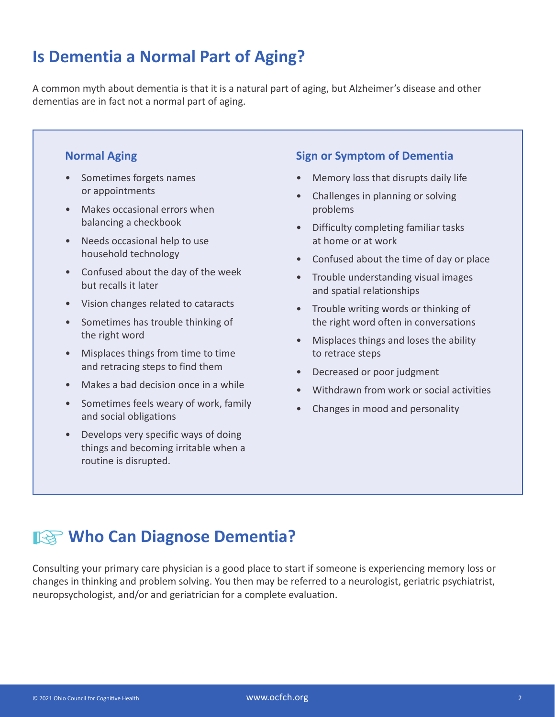## **Is Dementia a Normal Part of Aging?**

A common myth about dementia is that it is a natural part of aging, but Alzheimer's disease and other dementias are in fact not a normal part of aging.

## **Normal Aging**

- Sometimes forgets names or appointments
- Makes occasional errors when balancing a checkbook
- Needs occasional help to use household technology
- Confused about the day of the week but recalls it later
- Vision changes related to cataracts
- Sometimes has trouble thinking of the right word
- Misplaces things from time to time and retracing steps to find them
- Makes a bad decision once in a while
- Sometimes feels weary of work, family and social obligations
- Develops very specific ways of doing things and becoming irritable when a routine is disrupted.

## **Sign or Symptom of Dementia**

- Memory loss that disrupts daily life
- Challenges in planning or solving problems
- Difficulty completing familiar tasks at home or at work
- Confused about the time of day or place
- Trouble understanding visual images and spatial relationships
- Trouble writing words or thinking of the right word often in conversations
- Misplaces things and loses the ability to retrace steps
- Decreased or poor judgment
- Withdrawn from work or social activities
- Changes in mood and personality

## **IS Who Can Diagnose Dementia?**

Consulting your primary care physician is a good place to start if someone is experiencing memory loss or changes in thinking and problem solving. You then may be referred to a neurologist, geriatric psychiatrist, neuropsychologist, and/or and geriatrician for a complete evaluation.